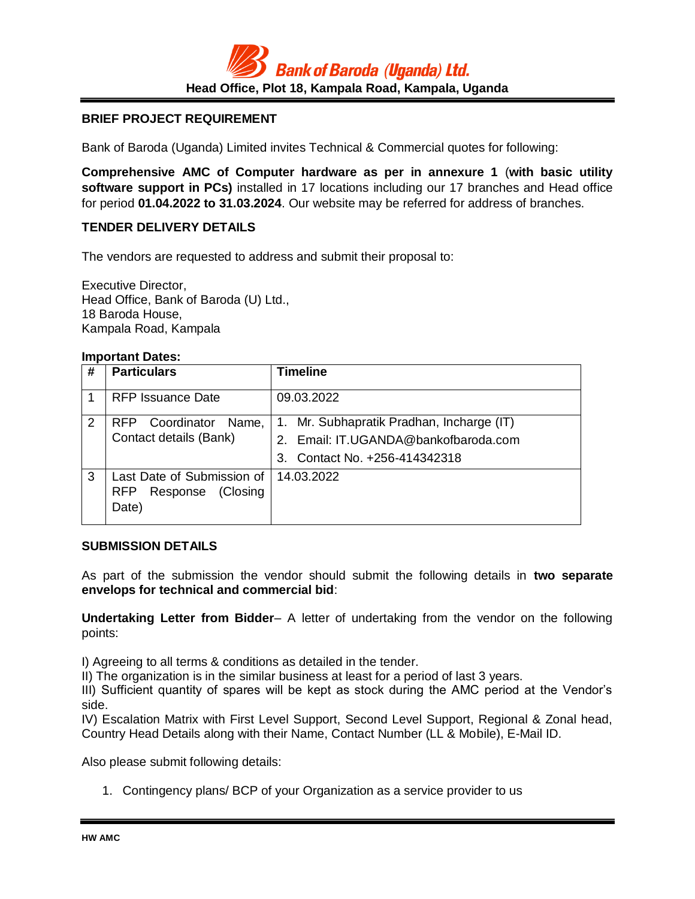

## **BRIEF PROJECT REQUIREMENT**

Bank of Baroda (Uganda) Limited invites Technical & Commercial quotes for following:

**Comprehensive AMC of Computer hardware as per in annexure 1** (**with basic utility software support in PCs)** installed in 17 locations including our 17 branches and Head office for period **01.04.2022 to 31.03.2024**. Our website may be referred for address of branches.

## **TENDER DELIVERY DETAILS**

The vendors are requested to address and submit their proposal to:

Executive Director, Head Office, Bank of Baroda (U) Ltd., 18 Baroda House, Kampala Road, Kampala

#### **Important Dates:**

| # | <b>Particulars</b>                                                        | Timeline                                                                                                              |
|---|---------------------------------------------------------------------------|-----------------------------------------------------------------------------------------------------------------------|
|   | <b>RFP</b> Issuance Date                                                  | 09.03.2022                                                                                                            |
| 2 | Coordinator<br>Name,<br>RFP<br>Contact details (Bank)                     | 1. Mr. Subhapratik Pradhan, Incharge (IT)<br>2. Email: IT.UGANDA@bankofbaroda.com<br>Contact No. +256-414342318<br>3. |
| 3 | Last Date of Submission of<br>Response<br>(Closing<br><b>RFP</b><br>Date) | 14.03.2022                                                                                                            |

#### **SUBMISSION DETAILS**

As part of the submission the vendor should submit the following details in **two separate envelops for technical and commercial bid**:

**Undertaking Letter from Bidder**– A letter of undertaking from the vendor on the following points:

I) Agreeing to all terms & conditions as detailed in the tender.

II) The organization is in the similar business at least for a period of last 3 years.

III) Sufficient quantity of spares will be kept as stock during the AMC period at the Vendor's side.

IV) Escalation Matrix with First Level Support, Second Level Support, Regional & Zonal head, Country Head Details along with their Name, Contact Number (LL & Mobile), E-Mail ID.

Also please submit following details:

1. Contingency plans/ BCP of your Organization as a service provider to us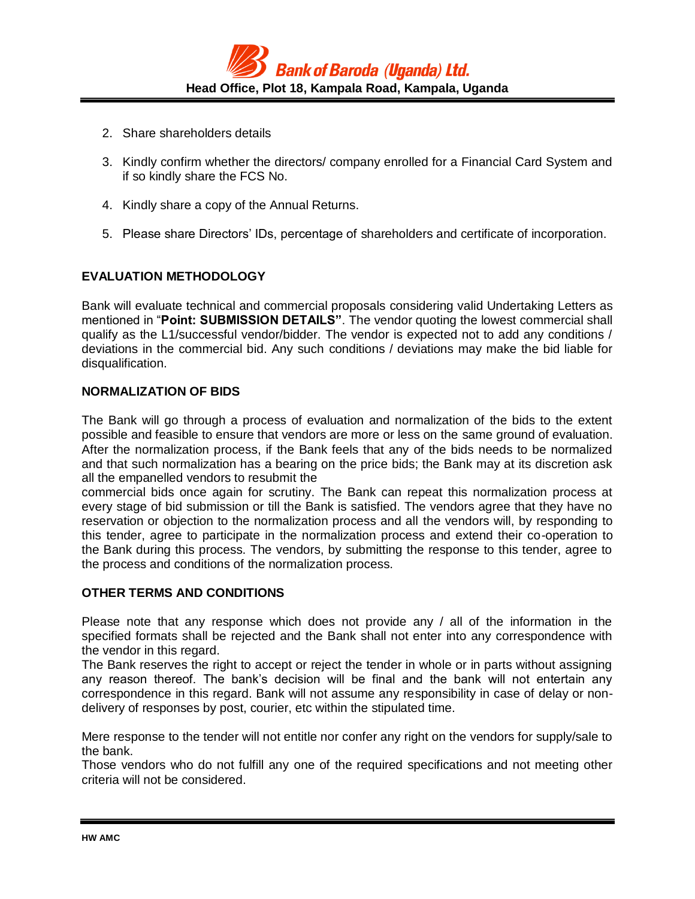

- 2. Share shareholders details
- 3. Kindly confirm whether the directors/ company enrolled for a Financial Card System and if so kindly share the FCS No.
- 4. Kindly share a copy of the Annual Returns.
- 5. Please share Directors' IDs, percentage of shareholders and certificate of incorporation.

## **EVALUATION METHODOLOGY**

Bank will evaluate technical and commercial proposals considering valid Undertaking Letters as mentioned in "**Point: SUBMISSION DETAILS"**. The vendor quoting the lowest commercial shall qualify as the L1/successful vendor/bidder. The vendor is expected not to add any conditions / deviations in the commercial bid. Any such conditions / deviations may make the bid liable for disqualification.

### **NORMALIZATION OF BIDS**

The Bank will go through a process of evaluation and normalization of the bids to the extent possible and feasible to ensure that vendors are more or less on the same ground of evaluation. After the normalization process, if the Bank feels that any of the bids needs to be normalized and that such normalization has a bearing on the price bids; the Bank may at its discretion ask all the empanelled vendors to resubmit the

commercial bids once again for scrutiny. The Bank can repeat this normalization process at every stage of bid submission or till the Bank is satisfied. The vendors agree that they have no reservation or objection to the normalization process and all the vendors will, by responding to this tender, agree to participate in the normalization process and extend their co-operation to the Bank during this process. The vendors, by submitting the response to this tender, agree to the process and conditions of the normalization process.

### **OTHER TERMS AND CONDITIONS**

Please note that any response which does not provide any / all of the information in the specified formats shall be rejected and the Bank shall not enter into any correspondence with the vendor in this regard.

The Bank reserves the right to accept or reject the tender in whole or in parts without assigning any reason thereof. The bank's decision will be final and the bank will not entertain any correspondence in this regard. Bank will not assume any responsibility in case of delay or nondelivery of responses by post, courier, etc within the stipulated time.

Mere response to the tender will not entitle nor confer any right on the vendors for supply/sale to the bank.

Those vendors who do not fulfill any one of the required specifications and not meeting other criteria will not be considered.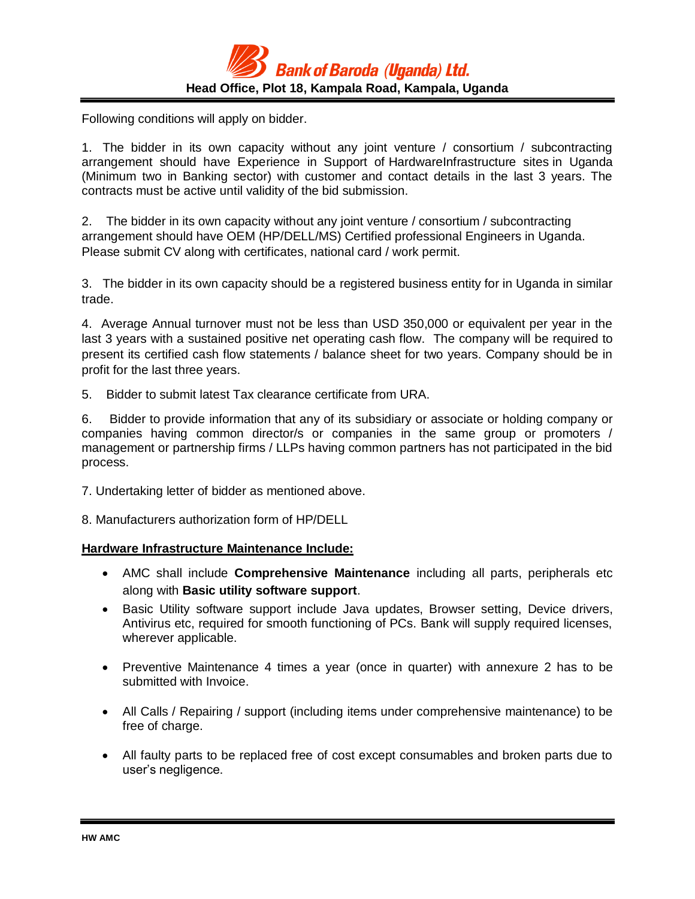

Following conditions will apply on bidder.

1. The bidder in its own capacity without any joint venture / consortium / subcontracting arrangement should have Experience in Support of HardwareInfrastructure sites in Uganda (Minimum two in Banking sector) with customer and contact details in the last 3 years. The contracts must be active until validity of the bid submission.

2. The bidder in its own capacity without any joint venture / consortium / subcontracting arrangement should have OEM (HP/DELL/MS) Certified professional Engineers in Uganda. Please submit CV along with certificates, national card / work permit.

3. The bidder in its own capacity should be a registered business entity for in Uganda in similar trade.

4. Average Annual turnover must not be less than USD 350,000 or equivalent per year in the last 3 years with a sustained positive net operating cash flow. The company will be required to present its certified cash flow statements / balance sheet for two years. Company should be in profit for the last three years.

5. Bidder to submit latest Tax clearance certificate from URA.

6. Bidder to provide information that any of its subsidiary or associate or holding company or companies having common director/s or companies in the same group or promoters / management or partnership firms / LLPs having common partners has not participated in the bid process.

7. Undertaking letter of bidder as mentioned above.

8. Manufacturers authorization form of HP/DELL

### **Hardware Infrastructure Maintenance Include:**

- AMC shall include **Comprehensive Maintenance** including all parts, peripherals etc along with **Basic utility software support**.
- Basic Utility software support include Java updates, Browser setting, Device drivers, Antivirus etc, required for smooth functioning of PCs. Bank will supply required licenses, wherever applicable.
- Preventive Maintenance 4 times a year (once in quarter) with annexure 2 has to be submitted with Invoice.
- All Calls / Repairing / support (including items under comprehensive maintenance) to be free of charge.
- All faulty parts to be replaced free of cost except consumables and broken parts due to user's negligence.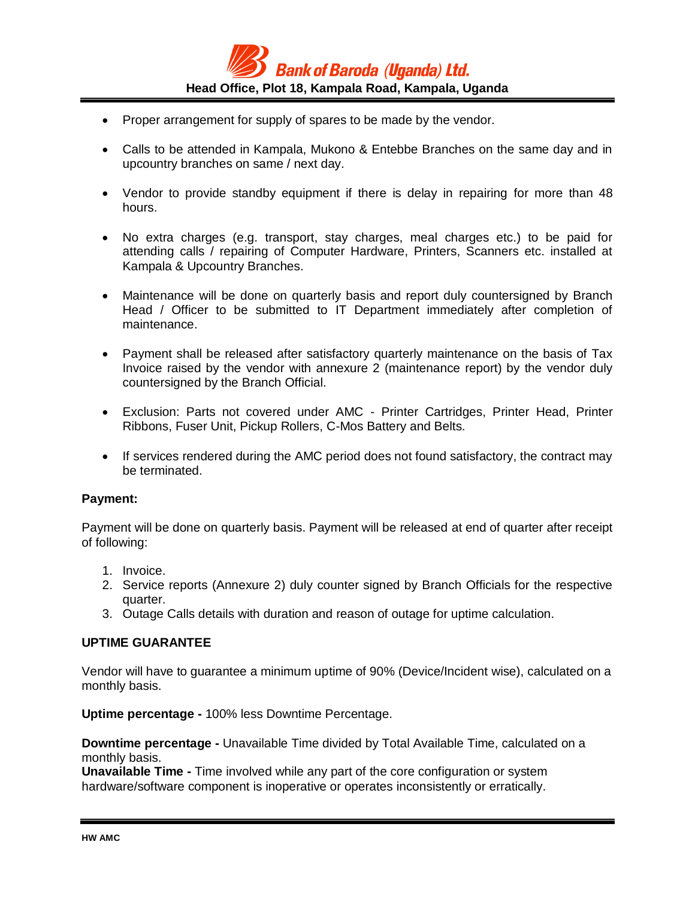

- Proper arrangement for supply of spares to be made by the vendor.
- Calls to be attended in Kampala, Mukono & Entebbe Branches on the same day and in upcountry branches on same / next day.
- Vendor to provide standby equipment if there is delay in repairing for more than 48 hours.
- No extra charges (e.g. transport, stay charges, meal charges etc.) to be paid for attending calls / repairing of Computer Hardware, Printers, Scanners etc. installed at Kampala & Upcountry Branches.
- Maintenance will be done on quarterly basis and report duly countersigned by Branch Head / Officer to be submitted to IT Department immediately after completion of maintenance.
- Payment shall be released after satisfactory quarterly maintenance on the basis of Tax Invoice raised by the vendor with annexure 2 (maintenance report) by the vendor duly countersigned by the Branch Official.
- Exclusion: Parts not covered under AMC Printer Cartridges, Printer Head, Printer Ribbons, Fuser Unit, Pickup Rollers, C-Mos Battery and Belts.
- If services rendered during the AMC period does not found satisfactory, the contract may be terminated.

### **Payment:**

Payment will be done on quarterly basis. Payment will be released at end of quarter after receipt of following:

- 1. Invoice.
- 2. Service reports (Annexure 2) duly counter signed by Branch Officials for the respective quarter.
- 3. Outage Calls details with duration and reason of outage for uptime calculation.

### **UPTIME GUARANTEE**

Vendor will have to guarantee a minimum uptime of 90% (Device/Incident wise), calculated on a monthly basis.

**Uptime percentage -** 100% less Downtime Percentage.

**Downtime percentage -** Unavailable Time divided by Total Available Time, calculated on a monthly basis.

**Unavailable Time -** Time involved while any part of the core configuration or system hardware/software component is inoperative or operates inconsistently or erratically.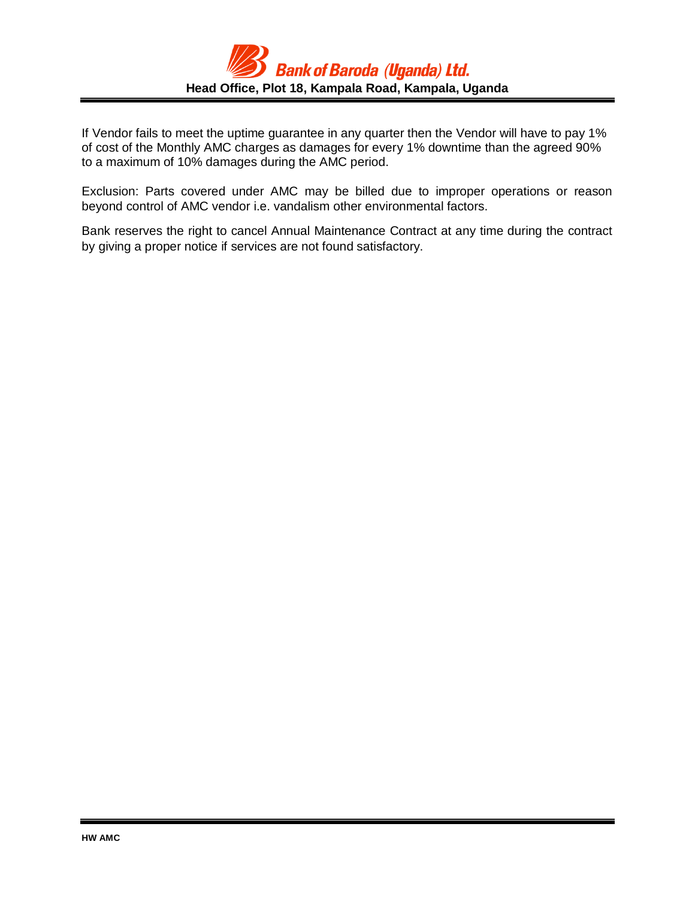

If Vendor fails to meet the uptime guarantee in any quarter then the Vendor will have to pay 1% of cost of the Monthly AMC charges as damages for every 1% downtime than the agreed 90% to a maximum of 10% damages during the AMC period.

Exclusion: Parts covered under AMC may be billed due to improper operations or reason beyond control of AMC vendor i.e. vandalism other environmental factors.

Bank reserves the right to cancel Annual Maintenance Contract at any time during the contract by giving a proper notice if services are not found satisfactory.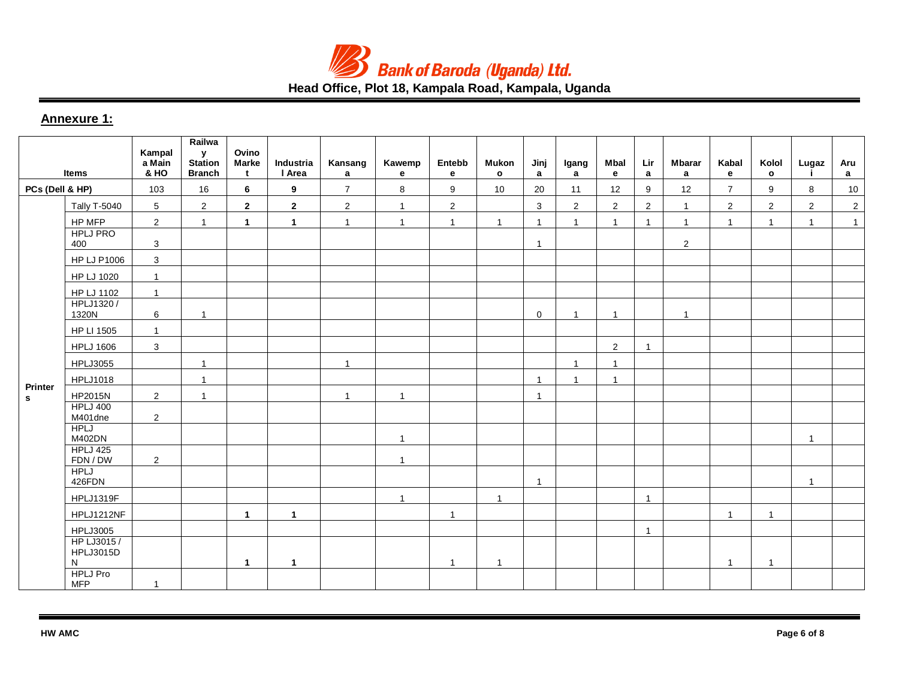

# **Head Office, Plot 18, Kampala Road, Kampala, Uganda**

## **Annexure 1:**

| <b>Items</b>    |                                     | Kampal<br>a Main<br><b>&amp; HO</b> | Railwa<br>${\bf y}$<br><b>Station</b><br><b>Branch</b> | Ovino<br>Marke<br>t  | Industria<br>I Area | Kansang<br>$\mathbf{a}$ | Kawemp<br>e  | Entebb<br>$\mathbf{e}$ | <b>Mukon</b><br>$\mathbf{o}$ | Jinj<br>$\mathbf{a}$ | Igang<br>a     | Mbal<br>e      | Lir<br>a       | <b>Mbarar</b><br>$\mathbf{a}$ | Kabal<br>e              | Kolol<br>$\circ$ | Lugaz<br>j.    | Aru<br>$\mathbf{a}$ |
|-----------------|-------------------------------------|-------------------------------------|--------------------------------------------------------|----------------------|---------------------|-------------------------|--------------|------------------------|------------------------------|----------------------|----------------|----------------|----------------|-------------------------------|-------------------------|------------------|----------------|---------------------|
| PCs (Dell & HP) |                                     | 103                                 | 16                                                     | 6                    | 9                   | $\overline{7}$          | 8            | 9                      | 10                           | 20                   | 11             | 12             | 9              | 12                            | $\overline{7}$          | 9                | 8              | 10                  |
|                 | <b>Tally T-5040</b>                 | $5\phantom{.0}$                     | $\overline{2}$                                         | $\mathbf{2}$         | $\mathbf{2}$        | $\overline{2}$          | $\mathbf{1}$ | $\overline{c}$         |                              | $\mathbf{3}$         | $\overline{2}$ | $\overline{2}$ | $\overline{2}$ | $\overline{1}$                | $\overline{2}$          | $\overline{2}$   | $\overline{2}$ | $\overline{2}$      |
|                 | HP MFP                              | $\overline{2}$                      | $\mathbf{1}$                                           | $\mathbf{1}$         | $\mathbf{1}$        | $\overline{1}$          | $\mathbf{1}$ | $\mathbf{1}$           | $\mathbf{1}$                 | $\overline{1}$       | $\overline{1}$ | $\overline{1}$ | $\mathbf{1}$   | $\overline{1}$                | $\mathbf{1}$            | $\overline{1}$   | $\mathbf{1}$   | $\overline{1}$      |
|                 | <b>HPLJ PRO</b><br>400              | 3                                   |                                                        |                      |                     |                         |              |                        |                              | $\overline{1}$       |                |                |                | $\overline{2}$                |                         |                  |                |                     |
|                 | <b>HP LJ P1006</b>                  | $\mathbf{3}$                        |                                                        |                      |                     |                         |              |                        |                              |                      |                |                |                |                               |                         |                  |                |                     |
|                 | HP LJ 1020                          | $\mathbf{1}$                        |                                                        |                      |                     |                         |              |                        |                              |                      |                |                |                |                               |                         |                  |                |                     |
|                 | HP LJ 1102                          | $\mathbf{1}$                        |                                                        |                      |                     |                         |              |                        |                              |                      |                |                |                |                               |                         |                  |                |                     |
|                 | HPLJ1320/<br>1320N                  | 6                                   | $\mathbf{1}$                                           |                      |                     |                         |              |                        |                              | $\mathbf 0$          | $\overline{1}$ | $\overline{1}$ |                | $\mathbf{1}$                  |                         |                  |                |                     |
|                 | HP LI 1505                          | $\mathbf{1}$                        |                                                        |                      |                     |                         |              |                        |                              |                      |                |                |                |                               |                         |                  |                |                     |
|                 | <b>HPLJ 1606</b>                    | $\mathbf{3}$                        |                                                        |                      |                     |                         |              |                        |                              |                      |                | 2              | $\overline{1}$ |                               |                         |                  |                |                     |
|                 | <b>HPLJ3055</b>                     |                                     | $\mathbf{1}$                                           |                      |                     | $\overline{1}$          |              |                        |                              |                      | $\overline{1}$ | $\overline{1}$ |                |                               |                         |                  |                |                     |
|                 | <b>HPLJ1018</b>                     |                                     | $\overline{1}$                                         |                      |                     |                         |              |                        |                              | $\overline{1}$       | $\overline{1}$ | $\overline{1}$ |                |                               |                         |                  |                |                     |
| Printer<br>s.   | HP2015N                             | $\overline{2}$                      | $\mathbf{1}$                                           |                      |                     | $\overline{1}$          | $\mathbf{1}$ |                        |                              | $\overline{1}$       |                |                |                |                               |                         |                  |                |                     |
|                 | <b>HPLJ 400</b><br>M401dne          | $\overline{c}$                      |                                                        |                      |                     |                         |              |                        |                              |                      |                |                |                |                               |                         |                  |                |                     |
|                 | <b>HPLJ</b><br>M402DN               |                                     |                                                        |                      |                     |                         | $\mathbf{1}$ |                        |                              |                      |                |                |                |                               |                         |                  | $\mathbf 1$    |                     |
|                 | <b>HPLJ 425</b><br>FDN / DW         | $\overline{2}$                      |                                                        |                      |                     |                         | $\mathbf{1}$ |                        |                              |                      |                |                |                |                               |                         |                  |                |                     |
|                 | <b>HPLJ</b><br>426FDN               |                                     |                                                        |                      |                     |                         |              |                        |                              | $\overline{1}$       |                |                |                |                               |                         |                  | $\mathbf{1}$   |                     |
|                 | HPLJ1319F                           |                                     |                                                        |                      |                     |                         | $\mathbf{1}$ |                        | $\mathbf{1}$                 |                      |                |                | $\overline{1}$ |                               |                         |                  |                |                     |
|                 | HPLJ1212NF                          |                                     |                                                        | $\blacktriangleleft$ | $\mathbf{1}$        |                         |              | $\overline{1}$         |                              |                      |                |                |                |                               | $\overline{\mathbf{1}}$ | 1                |                |                     |
|                 | <b>HPLJ3005</b>                     |                                     |                                                        |                      |                     |                         |              |                        |                              |                      |                |                | $\overline{1}$ |                               |                         |                  |                |                     |
|                 | HP LJ3015/<br><b>HPLJ3015D</b><br>N |                                     |                                                        | $\mathbf{1}$         | $\overline{1}$      |                         |              | $\overline{1}$         | $\overline{1}$               |                      |                |                |                |                               | $\mathbf{1}$            | $\overline{1}$   |                |                     |
|                 | <b>HPLJ Pro</b><br><b>MFP</b>       | $\mathbf{1}$                        |                                                        |                      |                     |                         |              |                        |                              |                      |                |                |                |                               |                         |                  |                |                     |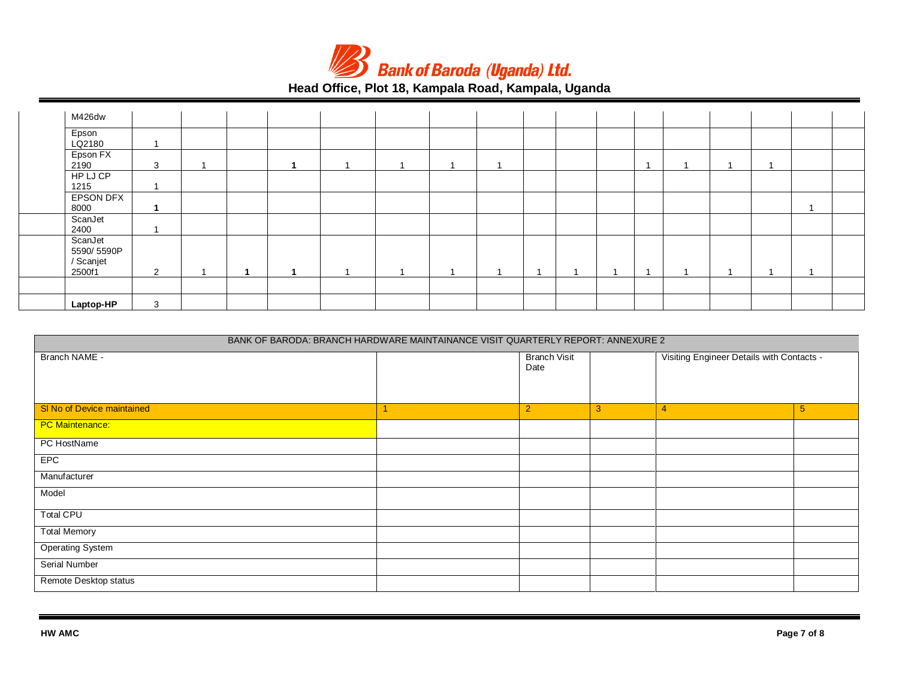

# **Head Office, Plot 18, Kampala Road, Kampala, Uganda**

| M426dw                                       |   |  |  |  |  |  |  |  |  |
|----------------------------------------------|---|--|--|--|--|--|--|--|--|
| Epson<br>LQ2180                              |   |  |  |  |  |  |  |  |  |
| Epson FX<br>2190                             | 3 |  |  |  |  |  |  |  |  |
| HP LJ CP<br>1215                             |   |  |  |  |  |  |  |  |  |
| EPSON DFX<br>8000                            |   |  |  |  |  |  |  |  |  |
| ScanJet<br>2400                              |   |  |  |  |  |  |  |  |  |
| ScanJet<br>5590/5590P<br>/ Scanjet<br>2500f1 | 2 |  |  |  |  |  |  |  |  |
|                                              |   |  |  |  |  |  |  |  |  |
| Laptop-HP                                    | 3 |  |  |  |  |  |  |  |  |

| BANK OF BARODA: BRANCH HARDWARE MAINTAINANCE VISIT QUARTERLY REPORT: ANNEXURE 2 |  |                             |   |                                           |                |  |  |  |  |
|---------------------------------------------------------------------------------|--|-----------------------------|---|-------------------------------------------|----------------|--|--|--|--|
| Branch NAME -                                                                   |  | <b>Branch Visit</b><br>Date |   | Visiting Engineer Details with Contacts - |                |  |  |  |  |
| SI No of Device maintained                                                      |  | $\overline{2}$              | 3 | $\overline{4}$                            | 5 <sub>5</sub> |  |  |  |  |
| <b>PC Maintenance:</b>                                                          |  |                             |   |                                           |                |  |  |  |  |
| PC HostName                                                                     |  |                             |   |                                           |                |  |  |  |  |
| <b>EPC</b>                                                                      |  |                             |   |                                           |                |  |  |  |  |
| Manufacturer                                                                    |  |                             |   |                                           |                |  |  |  |  |
| Model                                                                           |  |                             |   |                                           |                |  |  |  |  |
| <b>Total CPU</b>                                                                |  |                             |   |                                           |                |  |  |  |  |
| <b>Total Memory</b>                                                             |  |                             |   |                                           |                |  |  |  |  |
| <b>Operating System</b>                                                         |  |                             |   |                                           |                |  |  |  |  |
| Serial Number                                                                   |  |                             |   |                                           |                |  |  |  |  |
| Remote Desktop status                                                           |  |                             |   |                                           |                |  |  |  |  |